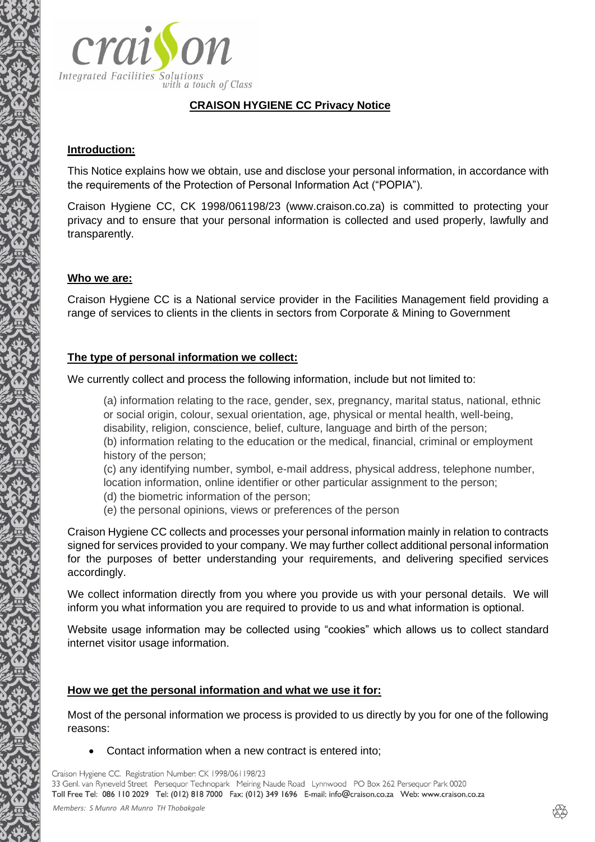

# **CRAISON HYGIENE CC Privacy Notice**

#### **Introduction:**

This Notice explains how we obtain, use and disclose your personal information, in accordance with the requirements of the Protection of Personal Information Act ("POPIA").

Craison Hygiene CC, CK 1998/061198/23 (www.craison.co.za) is committed to protecting your privacy and to ensure that your personal information is collected and used properly, lawfully and transparently.

#### **Who we are:**

Craison Hygiene CC is a National service provider in the Facilities Management field providing a range of services to clients in the clients in sectors from Corporate & Mining to Government

#### **The type of personal information we collect:**

We currently collect and process the following information, include but not limited to:

(a) information relating to the race, gender, sex, pregnancy, marital status, national, ethnic or social origin, colour, sexual orientation, age, physical or mental health, well-being, disability, religion, conscience, belief, culture, language and birth of the person; (b) information relating to the education or the medical, financial, criminal or employment history of the person;

(c) any identifying number, symbol, e-mail address, physical address, telephone number, location information, online identifier or other particular assignment to the person;

- (d) the biometric information of the person;
- (e) the personal opinions, views or preferences of the person

Craison Hygiene CC collects and processes your personal information mainly in relation to contracts signed for services provided to your company. We may further collect additional personal information for the purposes of better understanding your requirements, and delivering specified services accordingly.

We collect information directly from you where you provide us with your personal details. We will inform you what information you are required to provide to us and what information is optional.

Website usage information may be collected using "cookies" which allows us to collect standard internet visitor usage information.

#### **How we get the personal information and what we use it for:**

Most of the personal information we process is provided to us directly by you for one of the following reasons:

• Contact information when a new contract is entered into;

Craison Hygiene CC. Registration Number: CK 1998/061198/23

33 Genl. van Ryneveld Street Persequor Technopark Meiring Naude Road Lynnwood PO Box 262 Persequor Park 0020 Toll Free Tel: 086 110 2029 Tel: (012) 818 7000 Fax: (012) 349 1696 E-mail: info@craison.co.za Web: www.craison.co.za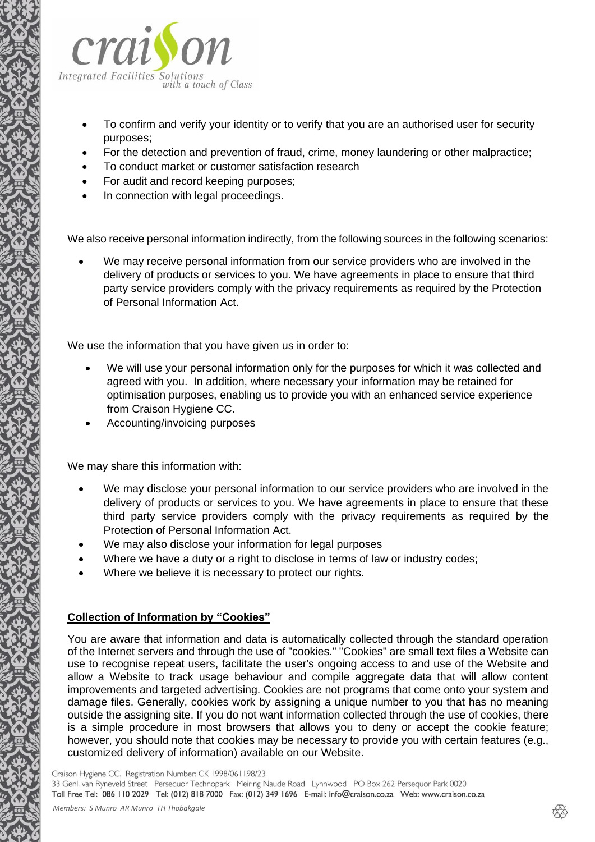

- To confirm and verify your identity or to verify that you are an authorised user for security purposes;
- For the detection and prevention of fraud, crime, money laundering or other malpractice;
- To conduct market or customer satisfaction research
- For audit and record keeping purposes;
- In connection with legal proceedings.

We also receive personal information indirectly, from the following sources in the following scenarios:

We may receive personal information from our service providers who are involved in the delivery of products or services to you. We have agreements in place to ensure that third party service providers comply with the privacy requirements as required by the Protection of Personal Information Act.

We use the information that you have given us in order to:

- We will use your personal information only for the purposes for which it was collected and agreed with you. In addition, where necessary your information may be retained for optimisation purposes, enabling us to provide you with an enhanced service experience from Craison Hygiene CC.
- Accounting/invoicing purposes

We may share this information with:

- We may disclose your personal information to our service providers who are involved in the delivery of products or services to you. We have agreements in place to ensure that these third party service providers comply with the privacy requirements as required by the Protection of Personal Information Act.
- We may also disclose your information for legal purposes
- Where we have a duty or a right to disclose in terms of law or industry codes;
- Where we believe it is necessary to protect our rights.

# **Collection of Information by "Cookies"**

You are aware that information and data is automatically collected through the standard operation of the Internet servers and through the use of "cookies." "Cookies" are small text files a Website can use to recognise repeat users, facilitate the user's ongoing access to and use of the Website and allow a Website to track usage behaviour and compile aggregate data that will allow content improvements and targeted advertising. Cookies are not programs that come onto your system and damage files. Generally, cookies work by assigning a unique number to you that has no meaning outside the assigning site. If you do not want information collected through the use of cookies, there is a simple procedure in most browsers that allows you to deny or accept the cookie feature; however, you should note that cookies may be necessary to provide you with certain features (e.g., customized delivery of information) available on our Website.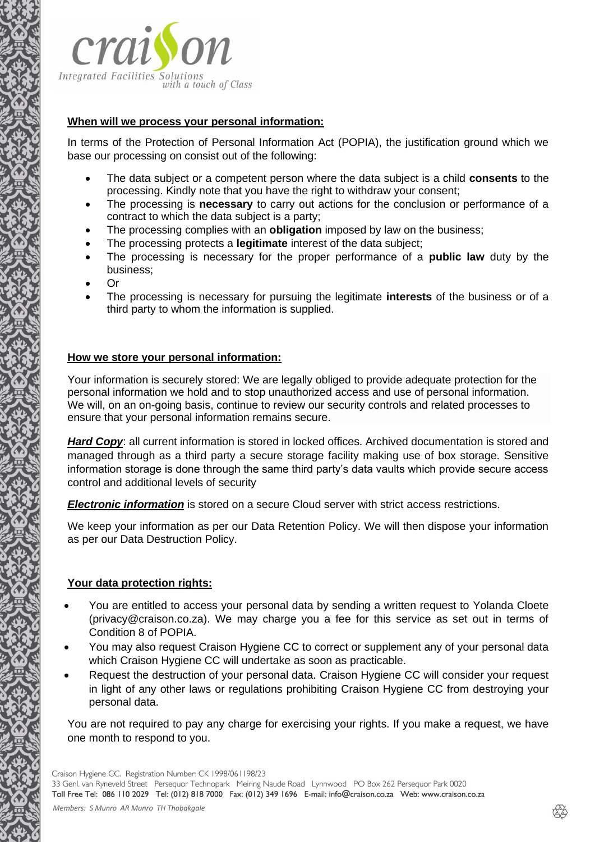

#### **When will we process your personal information:**

In terms of the Protection of Personal Information Act (POPIA), the justification ground which we base our processing on consist out of the following:

- The data subject or a competent person where the data subject is a child **consents** to the processing. Kindly note that you have the right to withdraw your consent;
- The processing is **necessary** to carry out actions for the conclusion or performance of a contract to which the data subject is a party;
- The processing complies with an **obligation** imposed by law on the business;
- The processing protects a **legitimate** interest of the data subject;
- The processing is necessary for the proper performance of a **public law** duty by the business;
- Or
- The processing is necessary for pursuing the legitimate **interests** of the business or of a third party to whom the information is supplied.

## **How we store your personal information:**

Your information is securely stored: We are legally obliged to provide adequate protection for the personal information we hold and to stop unauthorized access and use of personal information. We will, on an on-going basis, continue to review our security controls and related processes to ensure that your personal information remains secure.

*Hard Copy*: all current information is stored in locked offices. Archived documentation is stored and managed through as a third party a secure storage facility making use of box storage. Sensitive information storage is done through the same third party's data vaults which provide secure access control and additional levels of security

*Electronic information* is stored on a secure Cloud server with strict access restrictions.

We keep your information as per our Data Retention Policy. We will then dispose your information as per our Data Destruction Policy.

# **Your data protection rights:**

- You are entitled to access your personal data by sending a written request to Yolanda Cloete (privacy@craison.co.za). We may charge you a fee for this service as set out in terms of Condition 8 of POPIA.
- You may also request Craison Hygiene CC to correct or supplement any of your personal data which Craison Hygiene CC will undertake as soon as practicable.
- Request the destruction of your personal data. Craison Hygiene CC will consider your request in light of any other laws or regulations prohibiting Craison Hygiene CC from destroying your personal data.

You are not required to pay any charge for exercising your rights. If you make a request, we have one month to respond to you.